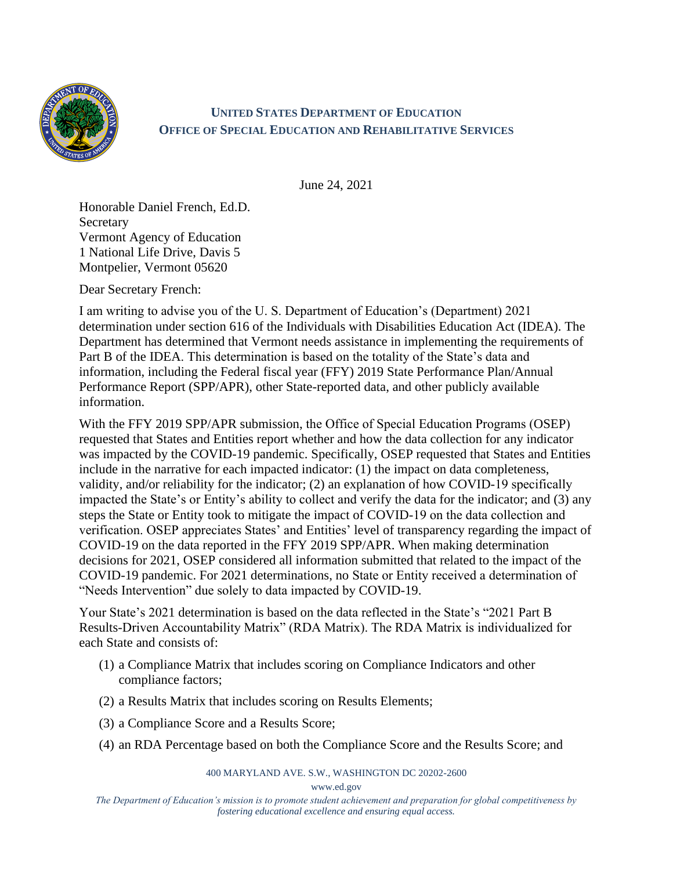

## **UNITED STATES DEPARTMENT OF EDUCATION OFFICE OF SPECIAL EDUCATION AND REHABILITATIVE SERVICES**

June 24, 2021

Honorable Daniel French, Ed.D. **Secretary** Vermont Agency of Education 1 National Life Drive, Davis 5 Montpelier, Vermont 05620

Dear Secretary French:

I am writing to advise you of the U. S. Department of Education's (Department) 2021 determination under section 616 of the Individuals with Disabilities Education Act (IDEA). The Department has determined that Vermont needs assistance in implementing the requirements of Part B of the IDEA. This determination is based on the totality of the State's data and information, including the Federal fiscal year (FFY) 2019 State Performance Plan/Annual Performance Report (SPP/APR), other State-reported data, and other publicly available information.

With the FFY 2019 SPP/APR submission, the Office of Special Education Programs (OSEP) requested that States and Entities report whether and how the data collection for any indicator was impacted by the COVID-19 pandemic. Specifically, OSEP requested that States and Entities include in the narrative for each impacted indicator: (1) the impact on data completeness, validity, and/or reliability for the indicator; (2) an explanation of how COVID-19 specifically impacted the State's or Entity's ability to collect and verify the data for the indicator; and (3) any steps the State or Entity took to mitigate the impact of COVID-19 on the data collection and verification. OSEP appreciates States' and Entities' level of transparency regarding the impact of COVID-19 on the data reported in the FFY 2019 SPP/APR. When making determination decisions for 2021, OSEP considered all information submitted that related to the impact of the COVID-19 pandemic. For 2021 determinations, no State or Entity received a determination of "Needs Intervention" due solely to data impacted by COVID-19.

Your State's 2021 determination is based on the data reflected in the State's "2021 Part B Results-Driven Accountability Matrix" (RDA Matrix). The RDA Matrix is individualized for each State and consists of:

- (1) a Compliance Matrix that includes scoring on Compliance Indicators and other compliance factors;
- (2) a Results Matrix that includes scoring on Results Elements;
- (3) a Compliance Score and a Results Score;
- (4) an RDA Percentage based on both the Compliance Score and the Results Score; and

400 MARYLAND AVE. S.W., WASHINGTON DC 20202-2600

www.ed.gov

*The Department of Education's mission is to promote student achievement and preparation for global competitiveness by fostering educational excellence and ensuring equal access.*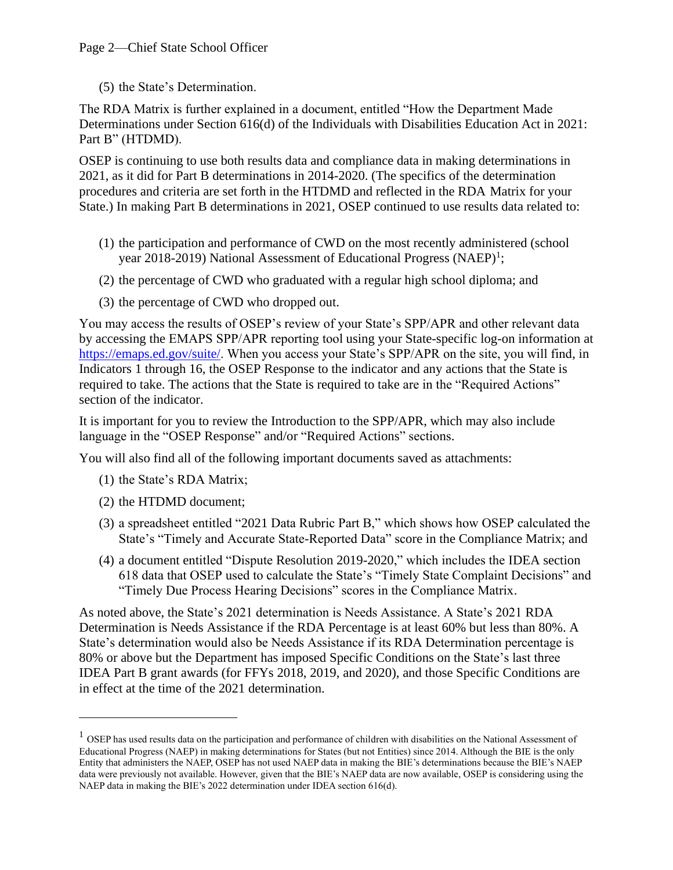(5) the State's Determination.

The RDA Matrix is further explained in a document, entitled "How the Department Made Determinations under Section 616(d) of the Individuals with Disabilities Education Act in 2021: Part B" (HTDMD).

OSEP is continuing to use both results data and compliance data in making determinations in 2021, as it did for Part B determinations in 2014-2020. (The specifics of the determination procedures and criteria are set forth in the HTDMD and reflected in the RDA Matrix for your State.) In making Part B determinations in 2021, OSEP continued to use results data related to:

- (1) the participation and performance of CWD on the most recently administered (school year 2018-2019) National Assessment of Educational Progress (NAEP)<sup>1</sup>;
- (2) the percentage of CWD who graduated with a regular high school diploma; and
- (3) the percentage of CWD who dropped out.

You may access the results of OSEP's review of your State's SPP/APR and other relevant data by accessing the EMAPS SPP/APR reporting tool using your State-specific log-on information at [https://emaps.ed.gov/suite/.](https://emaps.ed.gov/suite/) When you access your State's SPP/APR on the site, you will find, in Indicators 1 through 16, the OSEP Response to the indicator and any actions that the State is required to take. The actions that the State is required to take are in the "Required Actions" section of the indicator.

It is important for you to review the Introduction to the SPP/APR, which may also include language in the "OSEP Response" and/or "Required Actions" sections.

You will also find all of the following important documents saved as attachments:

- (1) the State's RDA Matrix;
- (2) the HTDMD document;
- (3) a spreadsheet entitled "2021 Data Rubric Part B," which shows how OSEP calculated the State's "Timely and Accurate State-Reported Data" score in the Compliance Matrix; and
- (4) a document entitled "Dispute Resolution 2019-2020," which includes the IDEA section 618 data that OSEP used to calculate the State's "Timely State Complaint Decisions" and "Timely Due Process Hearing Decisions" scores in the Compliance Matrix.

As noted above, the State's 2021 determination is Needs Assistance. A State's 2021 RDA Determination is Needs Assistance if the RDA Percentage is at least 60% but less than 80%. A State's determination would also be Needs Assistance if its RDA Determination percentage is 80% or above but the Department has imposed Specific Conditions on the State's last three IDEA Part B grant awards (for FFYs 2018, 2019, and 2020), and those Specific Conditions are in effect at the time of the 2021 determination.

 $1$  OSEP has used results data on the participation and performance of children with disabilities on the National Assessment of Educational Progress (NAEP) in making determinations for States (but not Entities) since 2014. Although the BIE is the only Entity that administers the NAEP, OSEP has not used NAEP data in making the BIE's determinations because the BIE's NAEP data were previously not available. However, given that the BIE's NAEP data are now available, OSEP is considering using the NAEP data in making the BIE's 2022 determination under IDEA section 616(d).